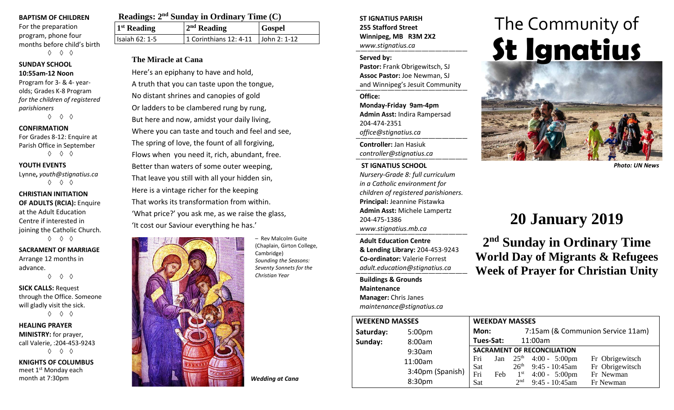#### **BAPTISM OF CHILDREN**

For the preparation program, phone four months before child's birth ◊ ◊ ◊

#### **SUNDAY SCHOOL 10:55am-12 Noon**

Program for 3- & 4- yearolds; Grades K-8 Program *for the children of registered parishioners* ◊ ◊ ◊

#### **CONFIRMATION**

For Grades 8-12: Enquire at Parish Office in September ◊ ◊ ◊

#### **YOUTH EVENTS**

Lynne**,** *youth@stignatius.ca* ◊ ◊ ◊

#### **CHRISTIAN INITIATION OF ADULTS (RCIA):** Enquire at the Adult Education Centre if interested in joining the Catholic Church. ◊ ◊ ◊

**SACRAMENT OF MARRIAGE** Arrange 12 months in advance.

◊ ◊ ◊

**SICK CALLS:** Request through the Office. Someone will gladly visit the sick. ◊ ◊ ◊

**HEALING PRAYER MINISTRY:** for prayer, call Valerie, :204-453-9243 ◊ ◊ ◊

**KNIGHTS OF COLUMBUS** meet 1st Monday each month at 7:30pm

| Readings: $2nd$ Sunday in Ordinary Time (C) |                                             |               |  |  |  |
|---------------------------------------------|---------------------------------------------|---------------|--|--|--|
| <sup>1st</sup> Reading                      | $2nd$ Reading                               | <b>Gospel</b> |  |  |  |
| <b>Isaiah 62: 1-5</b>                       | 1 Corinthians 12: 4-11 $\vert$ John 2: 1-12 |               |  |  |  |

### **The Miracle at Cana**

Here's an epiphany to have and hold, A truth that you can taste upon the tongue, No distant shrines and canopies of gold Or ladders to be clambered rung by rung, But here and now, amidst your daily living, Where you can taste and touch and feel and see, The spring of love, the fount of all forgiving, Flows when you need it, rich, abundant, free. Better than waters of some outer weeping, That leave you still with all your hidden sin, Here is a vintage richer for the keeping That works its transformation from within. 'What price?' you ask me, as we raise the glass, 'It cost our Saviour everything he has.'



– Rev Malcolm Guite (Chaplain, Girton College, Cambridge) *Sounding the Seasons: Seventy Sonnets for the Christian Year*

**ST IGNATIUS PARISH 255 Stafford Street Winnipeg, MB R3M 2X2** *www.stignatius.ca*

#### **Served by:**

**Pastor:** Frank Obrigewitsch, SJ **Assoc Pastor:** Joe Newman, SJ and Winnipeg's Jesuit Community

**Office: Monday-Friday 9am-4pm Admin Asst:** Indira Rampersad 204-474-2351 *office@stignatius.ca*

**Controller:** Jan Hasiuk *controller@stignatius.ca*

#### **ST IGNATIUS SCHOOL** *Nursery-Grade 8: full curriculum in a Catholic environment for children of registered parishioners.* **Principal:** Jeannine Pistawka **Admin Asst:** Michele Lampertz 204-475-1386 *www.stignatius.mb.ca*

**Adult Education Centre & Lending Library:** 204-453-9243 **Co-ordinator:** Valerie Forrest *adult.education@stignatius.ca*

**Buildings & Grounds Maintenance Manager:** Chris Janes *maintenance@stignatius.ca*

# The Community of **St Ignatius**



*Photo: UN News*

# **20 January 2019**

**2nd Sunday in Ordinary Time World Day of Migrants & Refugees Week of Prayer for Christian Unity**

| <b>WEEKEND MASSES</b> |                    | <b>WEEKDAY MASSES</b>              |           |                                   |                                              |                        |
|-----------------------|--------------------|------------------------------------|-----------|-----------------------------------|----------------------------------------------|------------------------|
| Saturday:             | 5:00 <sub>pm</sub> | Mon:                               |           | 7:15am (& Communion Service 11am) |                                              |                        |
| Sunday:               | 8:00am             |                                    | Tues-Sat: |                                   | 11:00am                                      |                        |
|                       | 9:30am             | <b>SACRAMENT OF RECONCILIATION</b> |           |                                   |                                              |                        |
|                       | 11:00am            | Fri                                |           |                                   | Jan $25^{th}$ 4:00 - 5:00pm                  | Fr Obrigewitsch        |
|                       | 3:40pm (Spanish)   | Sat                                |           | 26 <sup>th</sup>                  | $9:45 - 10:45$ am                            | Fr Obrigewitsch        |
|                       | 8:30pm             | Fri<br>Sat                         | Feb       | $1^{\rm st}$<br>2 <sub>nd</sub>   | $4:00 - 5:00 \text{pm}$<br>$9:45 - 10:45$ am | Fr Newman<br>Fr Newman |

*Wedding at Cana*